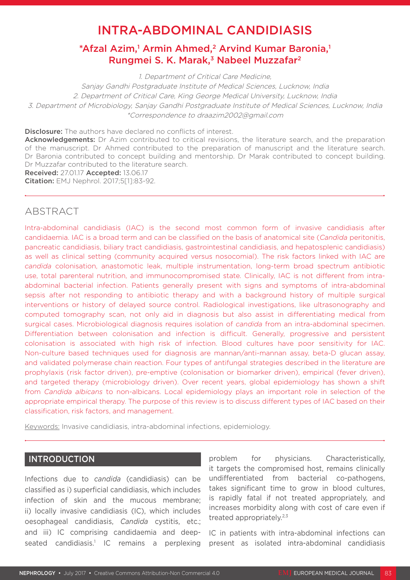# INTRA-ABDOMINAL CANDIDIASIS

# \*Afzal Azim,<sup>1</sup> Armin Ahmed,<sup>2</sup> Arvind Kumar Baronia,<sup>1</sup> Rungmei S. K. Marak,<sup>3</sup> Nabeel Muzzafar<sup>2</sup>

1. Department of Critical Care Medicine, Sanjay Gandhi Postgraduate Institute of Medical Sciences, Lucknow, India 2. Department of Critical Care, King George Medical University, Lucknow, India 3. Department of Microbiology, Sanjay Gandhi Postgraduate Institute of Medical Sciences, Lucknow, India \*Correspondence to draazim2002@gmail.com

Disclosure: The authors have declared no conflicts of interest.

Acknowledgements: Dr Azim contributed to critical revisions, the literature search, and the preparation of the manuscript. Dr Ahmed contributed to the preparation of manuscript and the literature search. Dr Baronia contributed to concept building and mentorship. Dr Marak contributed to concept building. Dr Muzzafar contributed to the literature search.

Received: 27.01.17 Accepted: 13.06.17

Citation: EMJ Nephrol. 2017;5[1]:83-92.

# ABSTRACT

Intra-abdominal candidiasis (IAC) is the second most common form of invasive candidiasis after candidaemia. IAC is a broad term and can be classified on the basis of anatomical site (*Candida* peritonitis, pancreatic candidiasis, biliary tract candidiasis, gastrointestinal candidiasis, and hepatosplenic candidiasis) as well as clinical setting (community acquired versus nosocomial). The risk factors linked with IAC are *candida* colonisation, anastomotic leak, multiple instrumentation, long-term broad spectrum antibiotic use, total parenteral nutrition, and immunocompromised state. Clinically, IAC is not different from intraabdominal bacterial infection. Patients generally present with signs and symptoms of intra-abdominal sepsis after not responding to antibiotic therapy and with a background history of multiple surgical interventions or history of delayed source control. Radiological investigations, like ultrasonography and computed tomography scan, not only aid in diagnosis but also assist in differentiating medical from surgical cases. Microbiological diagnosis requires isolation of *candida* from an intra-abdominal specimen. Differentiation between colonisation and infection is difficult. Generally, progressive and persistent colonisation is associated with high risk of infection. Blood cultures have poor sensitivity for IAC. Non-culture based techniques used for diagnosis are mannan/anti-mannan assay, beta-D glucan assay, and validated polymerase chain reaction. Four types of antifungal strategies described in the literature are prophylaxis (risk factor driven), pre-emptive (colonisation or biomarker driven), empirical (fever driven), and targeted therapy (microbiology driven). Over recent years, global epidemiology has shown a shift from *Candida albicans* to non-albicans. Local epidemiology plays an important role in selection of the appropriate empirical therapy. The purpose of this review is to discuss different types of IAC based on their classification, risk factors, and management.

Keywords: Invasive candidiasis, intra-abdominal infections, epidemiology.

# INTRODUCTION

Infections due to *candida* (candidiasis) can be classified as i) superficial candidiasis, which includes infection of skin and the mucous membrane; ii) locally invasive candidiasis (IC), which includes oesophageal candidiasis, *Candida* cystitis, etc.; and iii) IC comprising candidaemia and deepseated candidiasis.<sup>1</sup> IC remains a perplexing problem for physicians. Characteristically, it targets the compromised host, remains clinically undifferentiated from bacterial co-pathogens, takes significant time to grow in blood cultures, is rapidly fatal if not treated appropriately, and increases morbidity along with cost of care even if treated appropriately.<sup>2,3</sup>

IC in patients with intra-abdominal infections can present as isolated intra-abdominal candidiasis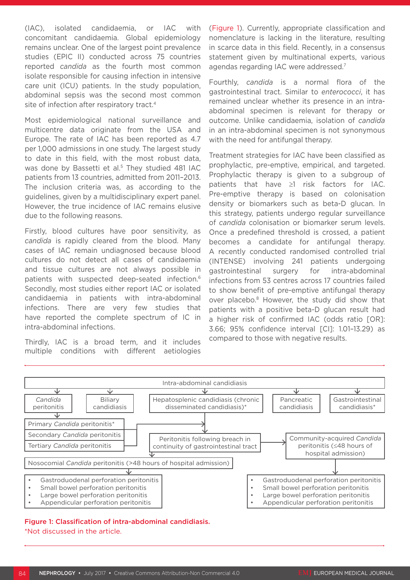(IAC), isolated candidaemia, or IAC with concomitant candidaemia. Global epidemiology remains unclear. One of the largest point prevalence studies (EPIC II) conducted across 75 countries reported *candida* as the fourth most common isolate responsible for causing infection in intensive care unit (ICU) patients. In the study population, abdominal sepsis was the second most common site of infection after respiratory tract.<sup>4</sup>

Most epidemiological national surveillance and multicentre data originate from the USA and Europe. The rate of IAC has been reported as 4.7 per 1,000 admissions in one study. The largest study to date in this field, with the most robust data, was done by Bassetti et al.<sup>5</sup> They studied 481 IAC patients from 13 countries, admitted from 2011–2013. The inclusion criteria was, as according to the guidelines, given by a multidisciplinary expert panel. However, the true incidence of IAC remains elusive due to the following reasons.

Firstly, blood cultures have poor sensitivity, as *candida* is rapidly cleared from the blood. Many cases of IAC remain undiagnosed because blood cultures do not detect all cases of candidaemia and tissue cultures are not always possible in patients with suspected deep-seated infection.6 Secondly, most studies either report IAC or isolated candidaemia in patients with intra-abdominal infections. There are very few studies that have reported the complete spectrum of IC in intra-abdominal infections.

Thirdly, IAC is a broad term, and it includes multiple conditions with different aetiologies (Figure 1). Currently, appropriate classification and nomenclature is lacking in the literature, resulting in scarce data in this field. Recently, in a consensus statement given by multinational experts, various agendas regarding IAC were addressed.7

Fourthly, *candida* is a normal flora of the gastrointestinal tract. Similar to *enterococci*, it has remained unclear whether its presence in an intraabdominal specimen is relevant for therapy or outcome. Unlike candidaemia, isolation of *candida* in an intra-abdominal specimen is not synonymous with the need for antifungal therapy.

Treatment strategies for IAC have been classified as prophylactic, pre-emptive, empirical, and targeted. Prophylactic therapy is given to a subgroup of patients that have ≥1 risk factors for IAC. Pre-emptive therapy is based on colonisation density or biomarkers such as beta-D glucan. In this strategy, patients undergo regular surveillance of *candida* colonisation or biomarker serum levels. Once a predefined threshold is crossed, a patient becomes a candidate for antifungal therapy. A recently conducted randomised controlled trial (INTENSE) involving 241 patients undergoing gastrointestinal surgery for intra-abdominal infections from 53 centres across 17 countries failed to show benefit of pre-emptive antifungal therapy over placebo.<sup>8</sup> However, the study did show that patients with a positive beta-D glucan result had a higher risk of confirmed IAC (odds ratio [OR]: 3.66; 95% confidence interval [CI]: 1.01–13.29) as compared to those with negative results.



# Figure 1: Classification of intra-abdominal candidiasis. \*Not discussed in the article.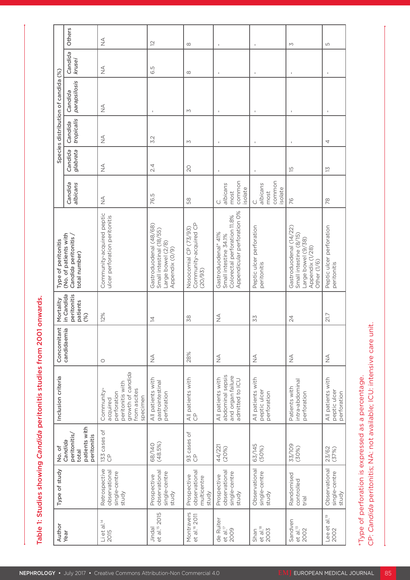| $\frac{1}{2}$                                              |                                                                                                            | 2                                   |                                                                                                 | $\infty$                                                  | $\sim$                                                                                                                 | $\mathbf{L}$                                          | $\mathsf{M}$                                                                                                 | LO                                                    |                                                                                                                              |
|------------------------------------------------------------|------------------------------------------------------------------------------------------------------------|-------------------------------------|-------------------------------------------------------------------------------------------------|-----------------------------------------------------------|------------------------------------------------------------------------------------------------------------------------|-------------------------------------------------------|--------------------------------------------------------------------------------------------------------------|-------------------------------------------------------|------------------------------------------------------------------------------------------------------------------------------|
| $\frac{1}{2}$                                              |                                                                                                            | 6.5                                 |                                                                                                 | $\infty$                                                  |                                                                                                                        |                                                       |                                                                                                              |                                                       |                                                                                                                              |
| $\stackrel{\triangleleft}{\geq}$                           |                                                                                                            |                                     |                                                                                                 | M                                                         |                                                                                                                        |                                                       | $\mathbf{L}$                                                                                                 |                                                       |                                                                                                                              |
| $\stackrel{\triangleleft}{\geq}$                           |                                                                                                            | $\sim$<br>'n,                       |                                                                                                 | M                                                         |                                                                                                                        |                                                       |                                                                                                              | $\overline{4}$                                        |                                                                                                                              |
| $\stackrel{\triangle}{\geq}$                               |                                                                                                            | 2.4                                 |                                                                                                 | $\overline{20}$                                           |                                                                                                                        |                                                       | $\overline{5}$                                                                                               | $\overline{\Xi}$                                      |                                                                                                                              |
| $\stackrel{\triangleleft}{\geq}$                           |                                                                                                            | LO<br>76.                           |                                                                                                 | 58                                                        | most<br>common<br>isolate<br>C.<br>albicans                                                                            | C.<br>albicans<br>most<br>common<br>isolate           | $\frac{1}{6}$                                                                                                | 78                                                    |                                                                                                                              |
| Community-acquired peptic<br>ulcer perforation peritonitis |                                                                                                            |                                     | Gastroduodenal (48/68)<br>  Small intestinal (18/55)<br>  Large bowel (2/8)<br>  Appendix (0/9) | Nosocomial CP (73/93)<br>Community-acquired CP<br>(20/93) | <br>  Gastroduodenal* 41%<br>  Small intestine 34.1%<br>  Appendicular perforation 0%<br>  Appendicular perforation 0% | perforation<br>Peptic ulcer<br>peritonitis            | Gastroduodenal (14/22)<br>  Small intestine (8/15)<br>  Large bowel (9/38)<br>  Other (1/6)<br>  Other (1/6) | er perforation<br>Peptic ulce<br>peritonitis          |                                                                                                                              |
| 12%                                                        |                                                                                                            | $\overline{4}$                      |                                                                                                 | 38                                                        | $\stackrel{\triangle}{\geq}$                                                                                           | 52                                                    | 24                                                                                                           | 21.7                                                  |                                                                                                                              |
| $\circ$                                                    |                                                                                                            | $\stackrel{\triangleleft}{\geq}$    |                                                                                                 | 28%                                                       | $\stackrel{\triangleleft}{\geq}$                                                                                       | $\frac{4}{2}$                                         | $\stackrel{\triangleleft}{\geq}$                                                                             | $\stackrel{\triangleleft}{\geq}$                      |                                                                                                                              |
|                                                            | Community-<br>acquired<br>perforation<br>peritonitis with<br>growth of candida<br>from ascites<br>specimen |                                     | All patients with<br>gastrointestinal<br>perforation                                            | All patients with<br>CP                                   | All patients with<br>abdominal sepsis<br>and organ failure<br>admitted to ICU                                          | with<br>All patients v<br>peptic ulcer<br>perforation | Patients with<br>intra-abdominal<br>perforation                                                              | with<br>All patients v<br>peptic ulcer<br>perforation |                                                                                                                              |
| $\frac{133}{P}$ cases of                                   |                                                                                                            | 68/140<br>(48.5%)                   |                                                                                                 | 93 cases of<br>CP                                         | 44/221<br>(20%)                                                                                                        | 63/145<br>(50%)                                       | 33/109<br>(30%)                                                                                              | 23/62<br>(37%)                                        |                                                                                                                              |
|                                                            | Retrospective<br>observational<br>single-centre<br>study                                                   |                                     | Prospective<br>observational<br>single-centre<br>study                                          | Prospective<br>observational<br>multicentre<br>study      | Prospective<br>observational<br>single-centre<br>study                                                                 | Observational<br>single-centre<br>study               | Randomised<br>controlled<br>trial                                                                            | Observational<br>single-centre<br>study               |                                                                                                                              |
| Li et al. <sup>14</sup><br>2015                            |                                                                                                            | Jindal<br>et al. <sup>15</sup> 2015 |                                                                                                 | Montravers<br>et al. <sup>16</sup> 2011                   | de Ruiter<br>et al. <sup>17</sup><br>2009                                                                              | $rac{\text{Shan}}{\text{et al}}$                      | Sandven<br>et al. <sup>13</sup><br>2002                                                                      | $rac{10}{5}$<br>Lee et<br>2002                        | *Type of perforation is expressed as a percentage.<br>CP: <i>Candida</i> peritonitis; NA: not available; ICU: intensive care |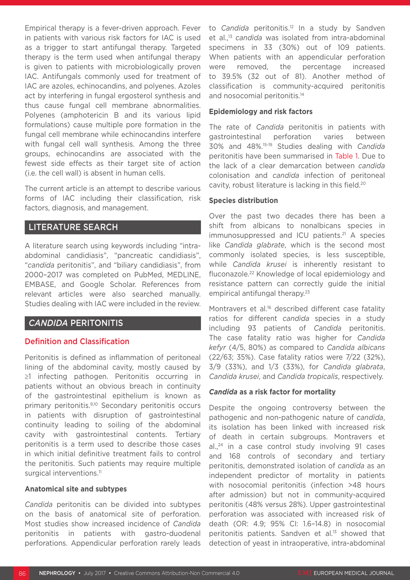Empirical therapy is a fever-driven approach. Fever in patients with various risk factors for IAC is used as a trigger to start antifungal therapy. Targeted therapy is the term used when antifungal therapy is given to patients with microbiologically proven IAC. Antifungals commonly used for treatment of IAC are azoles, echinocandins, and polyenes. Azoles act by interfering in fungal ergosterol synthesis and thus cause fungal cell membrane abnormalities. Polyenes (amphotericin B and its various lipid formulations) cause multiple pore formation in the fungal cell membrane while echinocandins interfere with fungal cell wall synthesis. Among the three groups, echinocandins are associated with the fewest side effects as their target site of action (i.e. the cell wall) is absent in human cells.

The current article is an attempt to describe various forms of IAC including their classification, risk factors, diagnosis, and management.

# LITERATURE SEARCH

A literature search using keywords including "intraabdominal candidiasis", "pancreatic candidiasis", "*candida* peritonitis", and "biliary candidiasis", from 2000–2017 was completed on PubMed, MEDLINE, EMBASE, and Google Scholar. References from relevant articles were also searched manually. Studies dealing with IAC were included in the review.

# *CANDIDA* PERITONITIS

# Definition and Classification

Peritonitis is defined as inflammation of peritoneal lining of the abdominal cavity, mostly caused by ≥1 infecting pathogen. Peritonitis occurring in patients without an obvious breach in continuity of the gastrointestinal epithelium is known as primary peritonitis.9,10 Secondary peritonitis occurs in patients with disruption of gastrointestinal continuity leading to soiling of the abdominal cavity with gastrointestinal contents. Tertiary peritonitis is a term used to describe those cases in which initial definitive treatment fails to control the peritonitis. Such patients may require multiple surgical interventions.<sup>11</sup>

#### **Anatomical site and subtypes**

*Candida* peritonitis can be divided into subtypes on the basis of anatomical site of perforation. Most studies show increased incidence of *Candida* peritonitis in patients with gastro-duodenal perforations. Appendicular perforation rarely leads to *Candida* peritonitis.<sup>12</sup> In a study by Sandven et al.,13 *candida* was isolated from intra-abdominal specimens in 33 (30%) out of 109 patients. When patients with an appendicular perforation were removed, the percentage increased to 39.5% (32 out of 81). Another method of classification is community-acquired peritonitis and nosocomial peritonitis.<sup>14</sup>

#### **Epidemiology and risk factors**

The rate of *Candida* peritonitis in patients with gastrointestinal perforation varies between 30% and 48%.15-19 Studies dealing with *Candida* peritonitis have been summarised in Table 1. Due to the lack of a clear demarcation between *candida* colonisation and *candida* infection of peritoneal cavity, robust literature is lacking in this field.20

#### **Species distribution**

Over the past two decades there has been a shift from albicans to nonalbicans species in immunosuppressed and ICU patients.<sup>21</sup> A species like *Candida glabrate*, which is the second most commonly isolated species, is less susceptible, while *Candida krusei* is inherently resistant to fluconazole.22 Knowledge of local epidemiology and resistance pattern can correctly guide the initial empirical antifungal therapy.<sup>23</sup>

Montravers et al.<sup>16</sup> described different case fatality ratios for different *candida* species in a study including 93 patients of *Candida* peritonitis. The case fatality ratio was higher for *Candida kefyr* (4/5, 80%) as compared to *Candida albicans* (22/63; 35%). Case fatality ratios were 7/22 (32%), 3/9 (33%), and 1/3 (33%), for *Candida glabrata*, *Candida krusei*, and *Candida tropicalis*, respectively.

#### *Candida* **as a risk factor for mortality**

Despite the ongoing controversy between the pathogenic and non-pathogenic nature of *candida*, its isolation has been linked with increased risk of death in certain subgroups. Montravers et  $al.^{24}$  in a case control study involving 91 cases and 168 controls of secondary and tertiary peritonitis, demonstrated isolation of *candida* as an independent predictor of mortality in patients with nosocomial peritonitis (infection >48 hours after admission) but not in community-acquired peritonitis (48% versus 28%). Upper gastrointestinal perforation was associated with increased risk of death (OR: 4.9; 95% CI: 1.6–14.8) in nosocomial peritonitis patients. Sandven et al.<sup>13</sup> showed that detection of yeast in intraoperative, intra-abdominal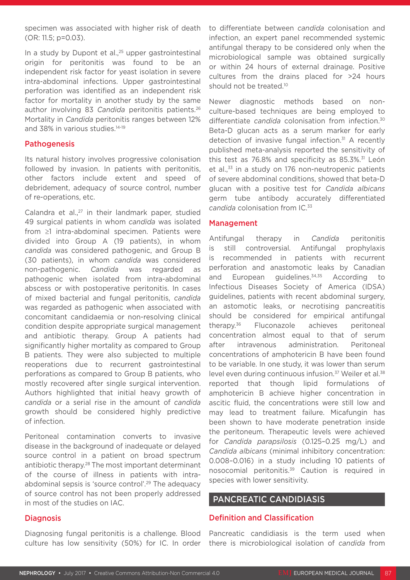specimen was associated with higher risk of death (OR: 11.5; p=0.03).

In a study by Dupont et al., $25$  upper gastrointestinal origin for peritonitis was found to be an independent risk factor for yeast isolation in severe intra-abdominal infections. Upper gastrointestinal perforation was identified as an independent risk factor for mortality in another study by the same author involving 83 *Candida* peritonitis patients.26 Mortality in *Candida* peritonitis ranges between 12% and 38% in various studies.<sup>14-19</sup>

# Pathogenesis

Its natural history involves progressive colonisation followed by invasion. In patients with peritonitis, other factors include extent and speed of debridement, adequacy of source control, number of re-operations, etc.

Calandra et al., $27$  in their landmark paper, studied 49 surgical patients in whom *candida* was isolated from ≥1 intra-abdominal specimen. Patients were divided into Group A (19 patients), in whom *candida* was considered pathogenic, and Group B (30 patients), in whom *candida* was considered non-pathogenic. *Candida* was regarded as pathogenic when isolated from intra-abdominal abscess or with postoperative peritonitis. In cases of mixed bacterial and fungal peritonitis, *candida* was regarded as pathogenic when associated with concomitant candidaemia or non-resolving clinical condition despite appropriate surgical management and antibiotic therapy. Group A patients had significantly higher mortality as compared to Group B patients. They were also subjected to multiple reoperations due to recurrent gastrointestinal perforations as compared to Group B patients, who mostly recovered after single surgical intervention. Authors highlighted that initial heavy growth of *candida* or a serial rise in the amount of *candida* growth should be considered highly predictive of infection.

Peritoneal contamination converts to invasive disease in the background of inadequate or delayed source control in a patient on broad spectrum antibiotic therapy.28 The most important determinant of the course of illness in patients with intraabdominal sepsis is 'source control'.29 The adequacy of source control has not been properly addressed in most of the studies on IAC.

**Diagnosis** 

to differentiate between *candida* colonisation and infection, an expert panel recommended systemic antifungal therapy to be considered only when the microbiological sample was obtained surgically or within 24 hours of external drainage. Positive cultures from the drains placed for >24 hours should not be treated.<sup>10</sup>

Newer diagnostic methods based on nonculture-based techniques are being employed to differentiate *candida* colonisation from infection.30 Beta-D glucan acts as a serum marker for early detection of invasive fungal infection.<sup>31</sup> A recently published meta-analysis reported the sensitivity of this test as  $76.8\%$  and specificity as  $85.3\%$ .<sup>31</sup> León et al., $33$  in a study on 176 non-neutropenic patients of severe abdominal conditions, showed that beta-D glucan with a positive test for *Candida albicans* germ tube antibody accurately differentiated *candida* colonisation from IC.33

# Management

Antifungal therapy in *Candida* peritonitis is still controversial. Antifungal prophylaxis is recommended in patients with recurrent perforation and anastomotic leaks by Canadian and European guidelines. $34,35$  According to Infectious Diseases Society of America (IDSA) guidelines, patients with recent abdominal surgery, an astomotic leaks, or necrotising pancreatitis should be considered for empirical antifungal therapy.36 Fluconazole achieves peritoneal concentration almost equal to that of serum after intravenous administration. Peritoneal concentrations of amphotericin B have been found to be variable. In one study, it was lower than serum level even during continuous infusion.<sup>37</sup> Weiler et al.<sup>38</sup> reported that though lipid formulations of amphotericin B achieve higher concentration in ascitic fluid, the concentrations were still low and may lead to treatment failure. Micafungin has been shown to have moderate penetration inside the peritoneum. Therapeutic levels were achieved for *Candida parapsilosis* (0.125–0.25 mg/L) and *Candida albicans* (minimal inhibitory concentration: 0.008–0.016) in a study including 10 patients of nosocomial peritonitis.39 Caution is required in species with lower sensitivity.

# PANCREATIC CANDIDIASIS

# Definition and Classification

Diagnosing fungal peritonitis is a challenge. Blood Pancreatic candidiasis is the term used when culture has low sensitivity (50%) for IC. In order there is microbiological isolation of *candida* from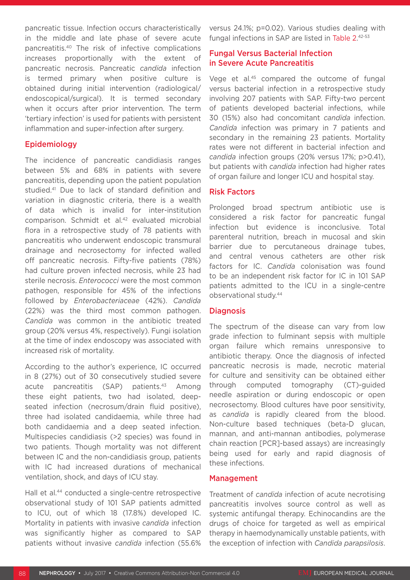pancreatic tissue. Infection occurs characteristically in the middle and late phase of severe acute pancreatitis.40 The risk of infective complications increases proportionally with the extent of pancreatic necrosis. Pancreatic *candida* infection is termed primary when positive culture is obtained during initial intervention (radiological/ endoscopical/surgical). It is termed secondary when it occurs after prior intervention. The term 'tertiary infection' is used for patients with persistent inflammation and super-infection after surgery.

# Epidemiology

The incidence of pancreatic candidiasis ranges between 5% and 68% in patients with severe pancreatitis, depending upon the patient population studied.41 Due to lack of standard definition and variation in diagnostic criteria, there is a wealth of data which is invalid for inter-institution comparison. Schmidt et al.<sup>42</sup> evaluated microbial flora in a retrospective study of 78 patients with pancreatitis who underwent endoscopic transmural drainage and necrosectomy for infected walled off pancreatic necrosis. Fifty-five patients (78%) had culture proven infected necrosis, while 23 had sterile necrosis. *Enterococci* were the most common pathogen, responsible for 45% of the infections followed by *Enterobacteriaceae* (42%). *Candida* (22%) was the third most common pathogen. *Candida* was common in the antibiotic treated group (20% versus 4%, respectively). Fungi isolation at the time of index endoscopy was associated with increased risk of mortality.

According to the author's experience, IC occurred in 8 (27%) out of 30 consecutively studied severe acute pancreatitis (SAP) patients.<sup>43</sup> Among these eight patients, two had isolated, deepseated infection (necrosum/drain fluid positive), three had isolated candidaemia, while three had both candidaemia and a deep seated infection. Multispecies candidiasis (>2 species) was found in two patients. Though mortality was not different between IC and the non-candidiasis group, patients with IC had increased durations of mechanical ventilation, shock, and days of ICU stay.

Hall et al.44 conducted a single-centre retrospective observational study of 101 SAP patients admitted to ICU, out of which 18 (17.8%) developed IC. Mortality in patients with invasive *candida* infection was significantly higher as compared to SAP patients without invasive *candida* infection (55.6% versus 24.1%; p=0.02). Various studies dealing with fungal infections in SAP are listed in Table 2.<sup>42-53</sup>

# Fungal Versus Bacterial Infection in Severe Acute Pancreatitis

Vege et al.<sup>45</sup> compared the outcome of fungal versus bacterial infection in a retrospective study involving 207 patients with SAP. Fifty-two percent of patients developed bacterial infections, while 30 (15%) also had concomitant *candida* infection. *Candida* infection was primary in 7 patients and secondary in the remaining 23 patients. Mortality rates were not different in bacterial infection and *candida* infection groups (20% versus 17%; p>0.41), but patients with *candida* infection had higher rates of organ failure and longer ICU and hospital stay.

# Risk Factors

Prolonged broad spectrum antibiotic use is considered a risk factor for pancreatic fungal infection but evidence is inconclusive. Total parenteral nutrition, breach in mucosal and skin barrier due to percutaneous drainage tubes, and central venous catheters are other risk factors for IC. *Candida* colonisation was found to be an independent risk factor for IC in 101 SAP patients admitted to the ICU in a single-centre observational study.44

#### Diagnosis

The spectrum of the disease can vary from low grade infection to fulminant sepsis with multiple organ failure which remains unresponsive to antibiotic therapy. Once the diagnosis of infected pancreatic necrosis is made, necrotic material for culture and sensitivity can be obtained either through computed tomography (CT)-guided needle aspiration or during endoscopic or open necrosectomy. Blood cultures have poor sensitivity, as *candida* is rapidly cleared from the blood. Non-culture based techniques (beta-D glucan, mannan, and anti-mannan antibodies, polymerase chain reaction [PCR]-based assays) are increasingly being used for early and rapid diagnosis of these infections.

#### Management

Treatment of *candida* infection of acute necrotising pancreatitis involves source control as well as systemic antifungal therapy. Echinocandins are the drugs of choice for targeted as well as empirical therapy in haemodynamically unstable patients, with the exception of infection with *Candida parapsilosis*.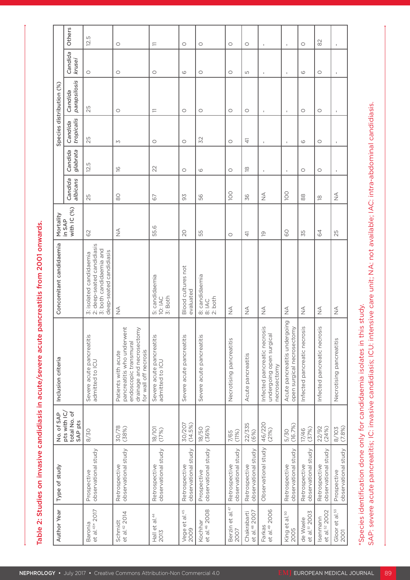|                    | Others                                                | LO.<br>$\overline{2}$ .                                                                                     | $\circ$                                                                                                                          | $\rightleftarrows$                           | $\circ$                              | $\circ$                              | $\circ$                              | $\circ$                                  |                                                                          |                                                                                        | $\circ$                                                    | $\approx$                             |                                              |
|--------------------|-------------------------------------------------------|-------------------------------------------------------------------------------------------------------------|----------------------------------------------------------------------------------------------------------------------------------|----------------------------------------------|--------------------------------------|--------------------------------------|--------------------------------------|------------------------------------------|--------------------------------------------------------------------------|----------------------------------------------------------------------------------------|------------------------------------------------------------|---------------------------------------|----------------------------------------------|
|                    | Candida<br>krusei                                     | $\circ$                                                                                                     | $\circ$                                                                                                                          | $\circ$                                      | $\circlearrowright$                  | $\circ$                              | $\circ$                              | LO                                       |                                                                          |                                                                                        | $\circ$                                                    | $\circ$                               |                                              |
|                    | Candida<br>parapsilosis                               | 25                                                                                                          |                                                                                                                                  |                                              |                                      |                                      |                                      |                                          |                                                                          |                                                                                        |                                                            |                                       |                                              |
|                    | Species distribution (%)<br>Candida<br>tropicalis     |                                                                                                             | $\circ$                                                                                                                          | $\equiv$                                     | $\circ$                              | $\circ$                              | $\circ$                              | $\circ$                                  |                                                                          |                                                                                        | $\circ$                                                    | $\circ$                               |                                              |
|                    | Candida<br>glabrata                                   | 25<br>12.5                                                                                                  | M                                                                                                                                | $\circ$                                      | $\circ$                              | 32                                   | $\circ$                              | $\pm$                                    |                                                                          |                                                                                        | $\circlearrowright$                                        | $\circ$                               |                                              |
|                    | Candida<br>albicans                                   | 25                                                                                                          | $\overline{\underline{\circ}}$<br>$\infty$                                                                                       | 22<br>67                                     | $\circ$<br>56                        | $\circlearrowright$<br>56            | $\circ$<br>$100$                     | $\overline{\infty}$<br>36                | $\stackrel{\triangle}{\geq}$                                             | g                                                                                      | $\circ$<br>$\stackrel{\textstyle\rm{0}}{\textstyle\rm{0}}$ | $\circ$<br>$\overline{\infty}$        | $\stackrel{\triangleleft}{\geq}$             |
|                    | Mortality<br>in SAP<br>with IC (%)                    | 62                                                                                                          | $rac{1}{2}$                                                                                                                      | 55.6                                         | 20                                   | 55                                   | $\circ$                              | $\pm$                                    | $\overline{\mathrm{o}}$                                                  | $\frac{1}{6}$                                                                          | 55                                                         | 64                                    | 25                                           |
|                    | Concomitant candidaemia                               | 3: isolated candidaemia<br>2: deep-seated candidiasis<br>3: both candidaemia and<br>deep-seated candidiasis | $\frac{\triangleleft}{\triangle}$                                                                                                | 5: candidaemia<br>10: IAC<br>3: Both         | Blood cultures not<br>evaluated      | 8: candidaemia<br>8: IAC<br>2: both  | $\stackrel{\triangleleft}{\geq}$     | $\stackrel{\triangleleft}{\geq}$         | $\stackrel{\triangleleft}{\geq}$                                         | $\stackrel{\triangle}{\geq}$                                                           | $\frac{4}{2}$                                              | $\frac{1}{2}$                         | $\stackrel{\triangleleft}{\geq}$             |
| Inclusion criteria |                                                       | Severe acute pancreatitis<br>admitted to ICU                                                                | Patients with acute<br>pancreatitis who underwent<br>endoscopic transmural<br>drainage and necrosectomy<br>for wall off necrosis | Severe acute pancreatitis<br>admitted to ICU | Severe acute pancreatitis            | Severe acute pancreatitis            | Necrotising pancreatitis             | Acute pancreatitis                       | Infected pancreatic necrosis<br>undergoing open surgical<br>necrosectomy | oing<br>reatitis undergoir<br>al necrosectomy<br>surgic<br>Acute pancr<br>open surgica | Infected pancreatic necrosis                               | Infected pancreatic necrosis          | Necrotising pancreatitis                     |
|                    | No. of SAP<br>pts with IC/<br>total No. of<br>SAP pts | 8/30                                                                                                        | 30/78<br>(38%)                                                                                                                   | $\frac{18}{17\%}$                            | 30/207<br>(14.5%)                    | 18/50<br>(36%)                       | $7/65$<br>(11%)                      | 22/335<br>(6%)                           | 46/220<br>(21%)                                                          | 5/30<br>(16.7%)                                                                        | 17/46<br>(37%)                                             | 22/92<br>(24%)                        | 8/103<br>(7.8%)                              |
|                    | Type of study                                         | Prospective<br>observational study                                                                          | Retrospective<br>observational study                                                                                             | Retrospective<br>observational study         | Retrospective<br>observational study | Prospective<br>observational study   | Retrospective<br>observational study | Retrospective<br>observational study     | Observational study                                                      | Retrospective<br>observational study                                                   | Retrospective<br>observational study                       | Retrospective<br>observational study  | pective<br>rvational study<br>Prosp<br>obser |
|                    | Year<br>Author                                        | <b>2017</b><br>Baronia<br>et al. <sup>43*</sup> 2                                                           | Schmidt<br>et al. <sup>42</sup> 2014                                                                                             | Hall et al. $^{44}$<br>2013                  | Vege et al. <sup>45</sup><br>2009    | Kochhar<br>et al. <sup>46</sup> 2008 | Berzin et al. <sup>47</sup><br>2007  | Chakrabarti<br>et al. <sup>48</sup> 2007 | Farkas<br>et al. <sup>49</sup> 2006                                      | et al. <sup>50</sup><br>King<br>2005                                                   | de Waele<br>et al. <sup>51</sup> 2003                      | Isenmann<br>et al. <sup>52</sup> 2002 | et al. <sup>53</sup><br>Gloor<br>2001        |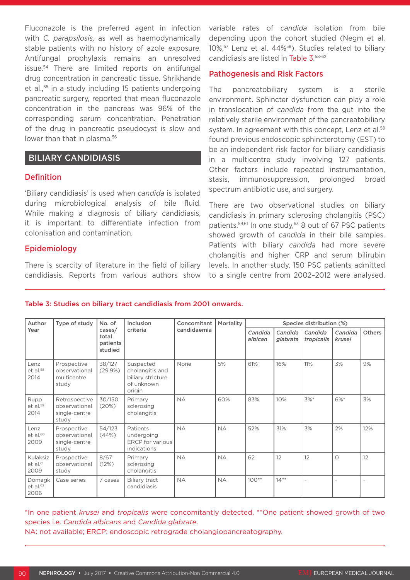Fluconazole is the preferred agent in infection with *C. parapsilosis,* as well as haemodynamically stable patients with no history of azole exposure. Antifungal prophylaxis remains an unresolved issue.54 There are limited reports on antifungal drug concentration in pancreatic tissue. Shrikhande et al.,55 in a study including 15 patients undergoing pancreatic surgery, reported that mean fluconazole concentration in the pancreas was 96% of the corresponding serum concentration. Penetration of the drug in pancreatic pseudocyst is slow and lower than that in plasma.<sup>56</sup>

# BILIARY CANDIDIASIS

## Definition

'Biliary candidiasis' is used when *candida* is isolated during microbiological analysis of bile fluid. While making a diagnosis of biliary candidiasis, it is important to differentiate infection from colonisation and contamination.

# Epidemiology

There is scarcity of literature in the field of biliary candidiasis. Reports from various authors show

variable rates of *candida* isolation from bile depending upon the cohort studied (Negm et al. 10%,57 Lenz et al. 44%58). Studies related to biliary candidiasis are listed in Table 3. 58-62

# Pathogenesis and Risk Factors

The pancreatobiliary system is a sterile environment. Sphincter dysfunction can play a role in translocation of *candida* from the gut into the relatively sterile environment of the pancreatobiliary system. In agreement with this concept, Lenz et al.<sup>58</sup> found previous endoscopic sphincterotomy (EST) to be an independent risk factor for biliary candidiasis in a multicentre study involving 127 patients. Other factors include repeated instrumentation, stasis, immunosuppression, prolonged broad spectrum antibiotic use, and surgery.

There are two observational studies on biliary candidiasis in primary sclerosing cholangitis (PSC) patients.<sup>59,61</sup> In one study,<sup>63</sup> 8 out of 67 PSC patients showed growth of *candida* in their bile samples. Patients with biliary *candida* had more severe cholangitis and higher CRP and serum bilirubin levels. In another study, 150 PSC patients admitted to a single centre from 2002–2012 were analysed.

| Author<br>Year                           | Type of study                                            | No. of                                 | Inclusion                                                                 | Concomitant | Mortality | Species distribution (%) |                     |                       |                   |               |  |  |  |
|------------------------------------------|----------------------------------------------------------|----------------------------------------|---------------------------------------------------------------------------|-------------|-----------|--------------------------|---------------------|-----------------------|-------------------|---------------|--|--|--|
|                                          |                                                          | cases/<br>total<br>patients<br>studied | criteria                                                                  | candidaemia |           | Candida<br>albican       | Candida<br>glabrata | Candida<br>tropicalis | Candida<br>krusei | <b>Others</b> |  |  |  |
| Lenz<br>$et$ al. $58$<br>2014            | Prospective<br>observational<br>multicentre<br>study     | 38/127<br>(29.9%)                      | Suspected<br>cholangitis and<br>biliary stricture<br>of unknown<br>origin | None        | 5%        | 61%                      | 16%                 | 11%                   | 3%                | 9%            |  |  |  |
| Rupp<br>et al. <sup>59</sup><br>2014     | Retrospective<br>observational<br>single-centre<br>study | 30/150<br>(20%)                        | Primary<br>sclerosing<br>cholangitis                                      | <b>NA</b>   | 60%       | 83%                      | 10%                 | 3%*                   | 6%*               | 3%            |  |  |  |
| Lenz<br>et al. <sup>60</sup><br>2009     | Prospective<br>observational<br>single-centre<br>study   | 54/123<br>(44%)                        | Patients<br>undergoing<br><b>ERCP</b> for various<br>indications          | <b>NA</b>   | <b>NA</b> | 52%                      | 31%                 | 3%                    | 2%                | 12%           |  |  |  |
| Kulaksiz<br>et al. <sup>61</sup><br>2009 | Prospective<br>observational<br>study                    | 8/67<br>(12%)                          | Primary<br>sclerosing<br>cholangitis                                      | <b>NA</b>   | <b>NA</b> | 62                       | 12                  | 12                    | $\circ$           | 12            |  |  |  |
| Domagk<br>et al. <sup>62</sup><br>2006   | Case series                                              | 7 cases                                | <b>Biliary tract</b><br>candidiasis                                       | <b>NA</b>   | <b>NA</b> | $100**$                  | $14**$              |                       |                   |               |  |  |  |

#### Table 3: Studies on biliary tract candidiasis from 2001 onwards.

\*In one patient *krusei* and *tropicalis* were concomitantly detected, \*\*One patient showed growth of two species i.e. *Candida albicans* and *Candida glabrate*. NA: not available; ERCP: endoscopic retrograde cholangiopancreatography.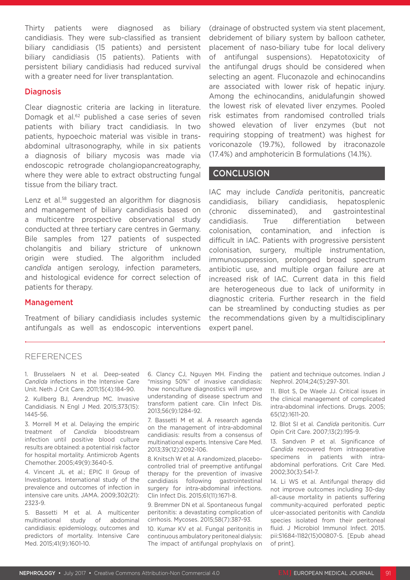Thirty patients were diagnosed as biliary candidiasis. They were sub-classified as transient biliary candidiasis (15 patients) and persistent biliary candidiasis (15 patients). Patients with persistent biliary candidiasis had reduced survival with a greater need for liver transplantation.

# **Diagnosis**

Clear diagnostic criteria are lacking in literature. Domagk et al.<sup>62</sup> published a case series of seven patients with biliary tract candidiasis. In two patients, hypoechoic material was visible in transabdominal ultrasonography, while in six patients a diagnosis of biliary mycosis was made via endoscopic retrograde cholangiopancreatography, where they were able to extract obstructing fungal tissue from the biliary tract.

Lenz et al.<sup>58</sup> suggested an algorithm for diagnosis and management of biliary candidiasis based on a multicentre prospective observational study conducted at three tertiary care centres in Germany. Bile samples from 127 patients of suspected cholangitis and biliary stricture of unknown origin were studied. The algorithm included *candida* antigen serology, infection parameters, and histological evidence for correct selection of patients for therapy.

Management

Treatment of biliary candidiasis includes systemic antifungals as well as endoscopic interventions (drainage of obstructed system via stent placement, debridement of biliary system by balloon catheter, placement of naso-biliary tube for local delivery of antifungal suspensions). Hepatotoxicity of the antifungal drugs should be considered when selecting an agent. Fluconazole and echinocandins are associated with lower risk of hepatic injury. Among the echinocandins, anidulafungin showed the lowest risk of elevated liver enzymes. Pooled risk estimates from randomised controlled trials showed elevation of liver enzymes (but not requiring stopping of treatment) was highest for voriconazole (19.7%), followed by itraconazole (17.4%) and amphotericin B formulations (14.1%).

# **CONCLUSION**

IAC may include *Candida* peritonitis, pancreatic candidiasis, biliary candidiasis, hepatosplenic (chronic disseminated), and gastrointestinal candidiasis. True differentiation between colonisation, contamination, and infection is difficult in IAC. Patients with progressive persistent colonisation, surgery, multiple instrumentation, immunosuppression, prolonged broad spectrum antibiotic use, and multiple organ failure are at increased risk of IAC. Current data in this field are heterogeneous due to lack of uniformity in diagnostic criteria. Further research in the field can be streamlined by conducting studies as per the recommendations given by a multidisciplinary expert panel.

# **REFERENCES**

1. Brusselaers N et al. Deep-seated *Candida* infections in the Intensive Care Unit. Neth J Crit Care. 2011;15(4):184-90.

2. Kullberg BJ, Arendrup MC. Invasive Candidiasis. N Engl J Med. 2015;373(15): 1445-56.

3. Morrell M et al. Delaying the empiric treatment of *Candida* bloodstream infection until positive blood culture results are obtained: a potential risk factor for hospital mortality. Antimicrob Agents Chemother. 2005;49(9):3640-5.

4. Vincent JL et al.; EPIC II Group of Investigators. International study of the prevalence and outcomes of infection in intensive care units. JAMA. 2009;302(21): 2323-9.

5. Bassetti M et al. A multicenter multinational study of abdominal candidiasis: epidemiology, outcomes and predictors of mortality. Intensive Care Med. 2015;41(9):1601-10.

6. Clancy CJ, Nguyen MH. Finding the "missing 50%" of invasive candidiasis: how nonculture diagnostics will improve understanding of disease spectrum and transform patient care. Clin Infect Dis. 2013;56(9):1284-92.

7. Bassetti M et al. A research agenda on the management of intra-abdominal candidiasis: results from a consensus of multinational experts. Intensive Care Med. 2013;39(12):2092-106.

8. Knitsch W et al. A randomized, placebocontrolled trial of preemptive antifungal therapy for the prevention of invasive candidiasis following gastrointestinal surgery for intra-abdominal infections. Clin Infect Dis. 2015;61(11):1671-8.

9. Bremmer DN et al. Spontaneous fungal peritonitis: a devastating complication of cirrhosis. Mycoses. 2015;58(7):387-93.

10. Kumar KV et al. Fungal peritonitis in continuous ambulatory peritoneal dialysis: The impact of antifungal prophylaxis on

patient and technique outcomes. Indian J Nephrol. 2014;24(5):297-301.

11. Blot S, De Waele JJ. Critical issues in the clinical management of complicated intra-abdominal infections. Drugs. 2005; 65(12):1611-20.

12. Blot SI et al. *Candida* peritonitis. Curr Opin Crit Care. 2007;13(2):195-9.

13. Sandven P et al. Significance of *Candida* recovered from intraoperative specimens in patients with intraabdominal perforations. Crit Care Med. 2002;30(3):541-7.

14. Li WS et al. Antifungal therapy did not improve outcomes including 30-day all-cause mortality in patients suffering community-acquired perforated peptic ulcer-associated peritonitis with *Candida* species isolated from their peritoneal fluid. J Microbiol Immunol Infect. 2015. pii:S1684-1182(15)00807-5. [Epub ahead of print].